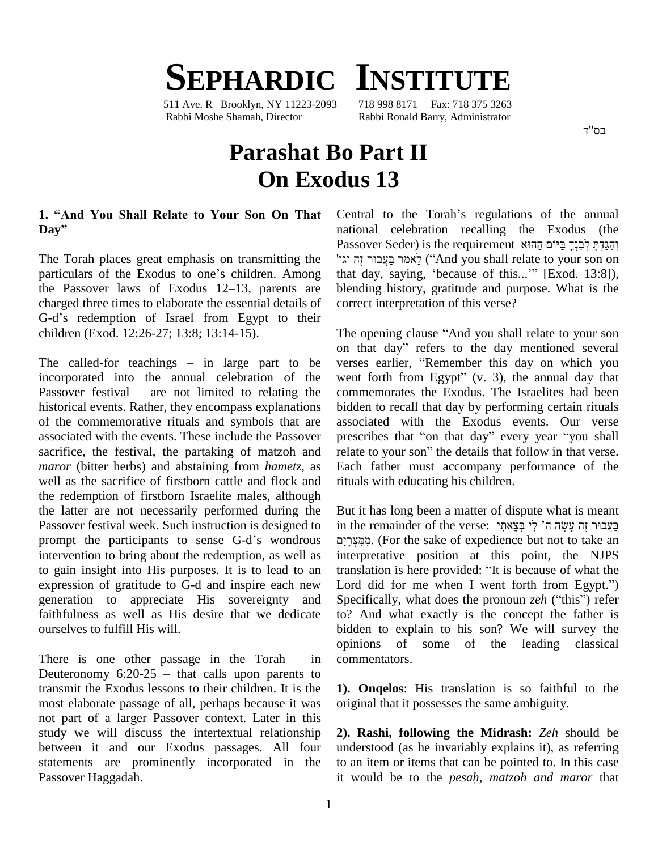# **SEPHARDIC INSTITUTE**

511 Ave. R Brooklyn, NY 11223-2093 718 998 8171 Fax: 718 375 3263 Rabbi Moshe Shamah, Director Rabbi Ronald Barry, Administrator

בס"ד

## **Parashat Bo Part II On Exodus 13**

# **1. ìAnd You Shall Relate to Your Son On That** 1. "And You<br>Day"

The Torah places great emphasis on transmitting the Passov<br>" זֶה וגו" The Torah places great emphasis on transmitting the<br>"particulars of the Exodus to one's children. Among that d The Torah places great emphasis on transmitting the "הגל"<br>particulars of the Exodus to one's children. Among that<br>the Passover laws of Exodus 12–13, parents are blend charged three times to elaborate the essential details of the Passover laws of Exodus 12–13, parents are charged three times to elaborate the essential details of G-d's redemption of Israel from Egypt to their children (Exod. 12:26-27; 13:8; 13:14-15).

The called-for teachings  $-$  in large part to be incorporated into the annual celebration of the The called-for teachings – in large part to be verse<br>incorporated into the annual celebration of the went<br>Passover festival – are not limited to relating the comr historical events. Rather, they encompass explanations of the commemorative rituals and symbols that are associated with the events. These include the Passover sacrifice, the festival, the partaking of matzoh and relate to your son" the details that follow in that verse. *maror* (bitter herbs) and abstaining from *hametz*, as well as the sacrifice of firstborn cattle and flock and the redemption of firstborn Israelite males, although the latter are not necessarily performed during the prompt the participants to sense G-dí<sup>s</sup> wondrous Passover festival week. Such instruction is designed to intervention to bring about the redemption, as well as to gain insight into His purposes. It is to lead to an translation is here provided: "It is because of what the expression of gratitude to G-d and inspire each new Lord did for me when I went forth from Egypt.") generation to appreciate His sovereignty and faithfulness as well as His desire that we dedicate ourselves to fulfill His will. ourselves to fulfill His will.<br>
There is one other passage in the Torah – in comm

opinio<br>
There is one other passage in the Torah – in comm<br>
Deuteronomy 6:20-25 – that calls upon parents to transmit the Exodus lessons to their children. It is the most elaborate passage of all, perhaps because it was not part of a larger Passover context. Later in this study we will discuss the intertextual relationship between it and our Exodus passages. All four statements are prominently incorporated in the Passover Haggadah.

Central to the Torah's regulations of the annual national celebration recalling the Exodus (the Central to the Torah's regulations of the annual<br>national celebration recalling the Exodus (the<br>הַגַּקִהָּ לְבִנְךָ בַּיֹּוֹם הַהוּא j hat Passover Seder) is the requirement וְהִגַּדְתָּ לְבִנְךָ בַּיוֹם הַהוּא ('`And you shall relate to your son on that day, saying, 'because of this...'"  $[Exod. 13:8]$ ), blending history, gratitude and purpose. What is the correct interpretation of this verse?

The opening clause "And you shall relate to your son on that day<sup>î</sup> refers to the day mentioned several The opening clause "And you shall relate to your son<br>on that day" refers to the day mentioned several<br>verses earlier, "Remember this day on which you on that day" refers to the day mentioned several<br>verses earlier, "Remember this day on which you<br>went forth from Egypt" (v. 3), the annual day that commemorates the Exodus. The Israelites had been bidden to recall that day by performing certain rituals<br>associated with the Exodus events. Our verse<br>prescribes that "on that day" every year "you shall associated with the Exodus events. Our verse prescribes that "on that day" every year "you shall Each father must accompany performance of the rituals with educating his children.

But it has long been a matter of dispute what is meant in the remainder of the verse: בּעֲבוּר זֶה עַשׂה ה' לי בִּצַאתי . (For the sake of expedience but not to take an interpretative position at this point, the NJPS מִמְצְרָיִם. (For the sake of expedience but not to take an interpretative position at this point, the NJPS translation is here provided: "It is because of what the interpretative position at this point, the NJPS<br>translation is here provided: "It is because of what the<br>Lord did for me when I went forth from Egypt.") Specifically, what does the pronoun *zeh* ("this") refer to? And what exactly is the concept the father is bidden to explain to his son? We will survey the opinions of some of the leading classical commentators.

**1). Onqelos**: His translation is so faithful to the original that it possesses the same ambiguity.

**2). Rashi, following the Midrash:** *Zeh* should be understood (as he invariably explains it), as referring it would be to the *pesah, matzoh and maror* that to an item or items that can be pointed to. In this case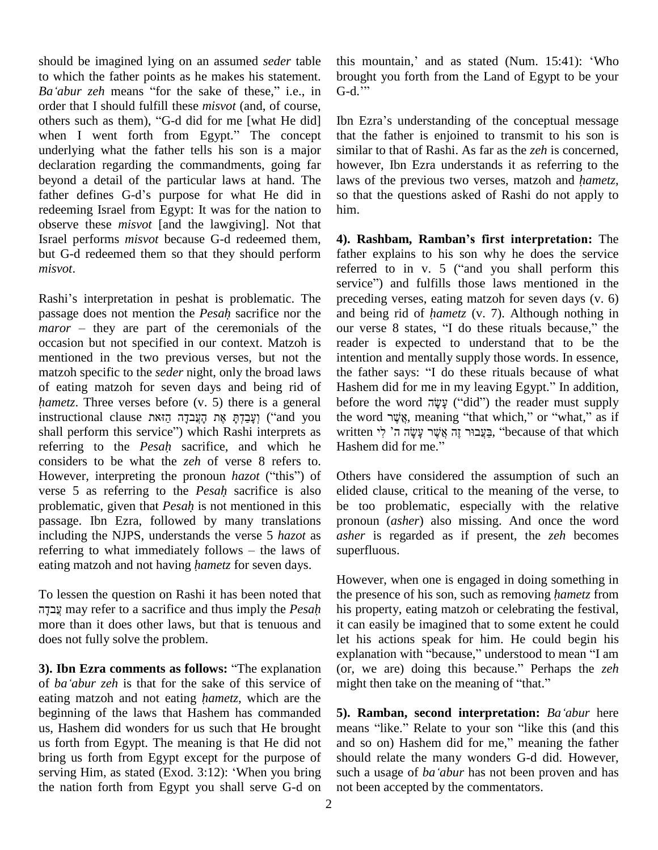should be imagined lying on an assumed *seder* table to which the father points as he makes his statement. *Ba*<sup>*i*</sup> **b** *Ba*<sub>*i*</sub> **z** *Ba*<sup>*i*</sup> *Ba*<sup>*i*</sup> *abur zeh* means *if for the sake of these,*<sup>*<i>n*</sup> *i.e.*, in *G-d.*<sup>*n*</sup> *i brough Ba*<sup>*'abur*</sup> *zeh* means *if for* the sake of these,<sup>*n*</sup> *i.e.*, in *G-d.*<sup></sup></sup> order that I should fulfill these *misvot* (and, of course, Ba'abur zeh means "for the sake of these," i.e., in G-dorder that I should fulfill these *misvot* (and, of course, others such as them), "G-d did for me [what He did] Ibn others such as them), "G-d did for me [what He did]<br>when I went forth from Egypt." The concept underlying what the father tells his son is a major declaration regarding the commandments, going far beyond a detail of the particular laws at hand. The laws of the previous two verses, matzoh and *hametz*, father defines G-d's purpose for what He did in redeeming Israel from Egypt: It was for the nation to observe these *misvot* [and the lawgiving]. Not that Israel performs *misvot* because G-d redeemed them, but G-d redeemed them so that they should perform *misvot*.

Rashi's interpretation in peshat is problematic. The service<br>Rashi's interpretation in peshat is problematic. The prece<br>passage does not mention the *Pesah* sacrifice nor the and b Rashi's interpretation in peshat is problematic. The prece passage does not mention the *Pesah* sacrifice nor the and *maror* – they are part of the ceremonials of the our *s* occasion but not specified in our context. Matzoh is mentioned in the two previous verses, but not the matzoh specific to the *seder* night, only the broad laws of eating matzoh for seven days and being rid of matzoh specific to the *seder* night, only the broad laws<br>of eating matzoh for seven days and being rid of His<br>*hametz*. Three verses before (v. 5) there is a general be of eating matzoh for seven days and being rid of Hashe<br>*hametz*. Three verses before (v. 5) there is a general before<br>instructional clause וְעֲבַרָּהְ אֶת הָעֲבֹדָה הֲזֹאת ('and you the wo hametz. Three verses before (v. 5) there is a general before is a general beform this service?) ("4 הָעֲבַדָּה<br>
shall perform this service") which Rashi interprets as writ instructional clause יִעֲבַרָּהְ הָעֲבֹדָה הָאָת הָעֲבֹדָה ("and you the whall perform this service") which Rashi interprets as writter referring to the *Pesah* sacrifice, and which he Hash considers to be what the *zeh* of verse 8 refers to. referring to the *Pesah* sacrifice, and which he Haconsiders to be what the *zeh* of verse 8 refers to.<br>However, interpreting the pronoun *hazot* ("this") of Oth considers to be what the *zeh* of verse 8 refers to.<br>However, interpreting the pronoun *hazot* ("this") of Others<br>verse 5 as referring to the *Pesah* sacrifice is also elided However, interpreting the pronoun *hazot* ("this") of Otheverse 5 as referring to the *Pesah* sacrifice is also elidenvolumentic, given that *Pesah* is not mentioned in this be passage. Ibn Ezra, followed by many translations including the NJPS, understands the verse 5 *hazot* as passage. Ibn Ezra, followed by many translations pro<br>including the NJPS, understands the verse 5 *hazot* as *ash*<br>referring to what immediately follows – the laws of sup including the NJPS, understands the verse 5 *hazot* as referring to what immediately follows – the laws of eating matzoh and not having *hametz* for seven days.

 may refer to <sup>a</sup> sacrifice and thus imply the *Pesah* more than it does other laws, but that is tenuous and does not fully solve the problem. **3). Ibn Ezra comments as follows:** <sup>ì</sup>The explanation

exp. **ba**<br>**3). Ibn Ezra comments as follows: "The explanation (or** *ba* **'***abur**zeh* **is that for the sake of this service of mig** of *ba'abur zeh* is that for the sake of this service of might then take on the meaning of "that." eating matzoh and not eating *hametz*, which are the beginning of the laws that Hashem has commanded us, Hashem did wonders for us such that He brought us forth from Egypt. The meaning is that He did not and so bring us forth from Egypt except for the purpose of should serving Him, as stated (Exod. 3:12): 'When you bring such a bring us forth from Egypt except for the purpose of the nation forth from Egypt you shall serve G-d on

this mountain,' and as stated (Num. 15:41): 'Who brought you forth from the Land of Egypt to be your this mountain<br>brought you fo<br>G-d.<sup>\*\*\*</sup> G-d."<br>Ibn Ezra's understanding of the conceptual message

that the father is enjoined to transmit to his son is similar to that of Rashi. As far as the *zeh* is concerned, however, Ibn Ezra understands it as referring to the laws of the previous two verses, matzoh and *hametz*, however, Ibn Ezra understands it as referring to the so that the questions asked of Rashi do notapply to him.

**4). Rashbam, Rambanís first interpretation:** The father explains to his son why he does the service **4). Rashbam, Ramban's first interpretation:** The father explains to his son why he does the service referred to in v. 5 ("and you shall perform this father explains to his son why he does the service<br>referred to in v. 5 ("and you shall perform this<br>service") and fulfills those laws mentioned in the preceding verses, eating matzoh for seven days (v. 6) service") and fulfills those laws mentioned in the preceding verses, eating matzoh for seven days (v. 6) and being rid of *hametz* (v. 7). Although nothing in our verse 8 states, "I do these rituals because," the reader is expected to understand that to be the intention and mentally supply those words. In essence, reader is expected to understand that to be the intention and mentally supply those words. In essence, the father says: "I do these rituals because of what intention and mentally supply those words. In essence, the father says: "I do these rituals because of what Hashem did for me in my leaving Egypt." In addition, the father says: "I do these rituals because of what<br>Hashem did for me in my leaving Egypt." In addition,<br>before the word עָשָׂה ("did") the reader must supply Hashem did for me in my leaving Egypt." In addition,<br>before the word  $\vec{\psi}$  ("did") the reader must supply<br>the word  $\vec{\psi}$ s, meaning "that which," or "what," as if before the word עשׂה ("did") the reader must supply written בַּעֲבוּר זֶה אֲשֶׁר עָשָׂה ה' קי $\,$  "because of that which Hashem did for me."

Others have considered the assumption of such an elided clause, critical to the meaning of the verse, to be too problematic, especially with the relative pronoun (*asher*) also missing. And once the word *asher* is regarded as if present, the *zeh* becomes superfluous.

To lessen the question on Rashi it has been noted that the presence of his son, such as removing *hametz* from However, when one is engaged in doing something in The presence of his son, such as removing *hametz* from the presence of his son, such as removing *hametz* from his property, eating matzoh or celebrating the festival, it can easily be imagined that to some extent he could<br>let his actions speak for him. He could begin his<br>explanation with "because," understood to mean "I am let his actions speak for him. He could begin his let his actions speak for him. He could begin his explanation with "because," understood to mean "I am (or, we are) doing this because." Perhaps the *zeh* explanation with "because," understood to mean '<br>(or, we are) doing this because." Perhaps the<br>might then take on the meaning of "that."

**5). Ramban, second interpretation:** *Baëabur* here **5). Ramban, second interpretation:** Ba'abur here means "like." Relate to your son "like this (and this **5). Ramban, second interpretation:** *Ba'abur* here means "like." Relate to your son "like this (and this and so on) Hashem did for me," meaning the father should relate the many wonders G-d did. However, and so on) Hashem did for me," meaning the father should relate the many wonders G-d did. However, such a usage of *ba'abur* has not been proven and has not been accepted by the commentators.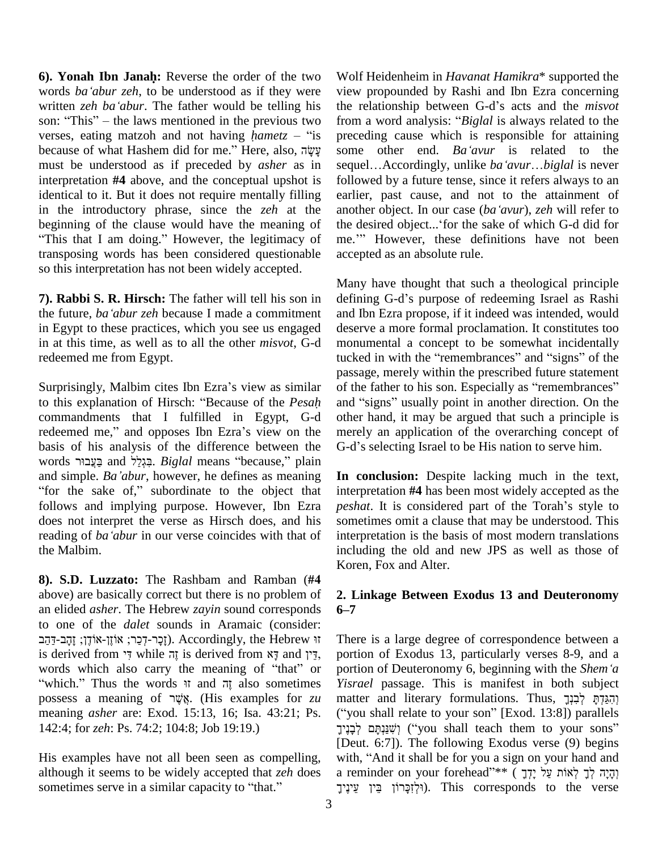**6). Yonah Ibn Janah:** Reverse the order of the two **6). Yonah Ibn Janah:** Reverse the order of the two Wolf words *ba*<sup>*'abur zeh*, to be understood as if they were view</sup> **6). Yonah Ibn Janah:** Reverse the order of the two Wolwords *ba'abur zeh*, to be understood as if they were view written *zeh ba'abur*. The father would be telling his the words *ba'abur zeh*, to be understood as if they were view written *zeh ba'abur*. The father would be telling his the reson: "This" – the laws mentioned in the previous two from a written *zeh ba'abur*. The father would be telling his the son: "This" – the laws mentioned in the previous two from verses, eating matzoh and not having *hametz* – "is prec son: "This" – the laws mentioned in the previous two<br>verses, eating matzoh and not having *hametz* – "is pre<br>because of what Hashem did for me." Here, also, לַעֲשָׂה must be understood as if preceded by *asher* as in interpretation **#4** above, and the conceptual upshot is identical to it. But it does not require mentally filling in the introductory phrase, since the *zeh* at the another<br>beginning of the clause would have the meaning of the d<br>"This that I am doing." However, the legitimacy of me." transposing words has been considered questionable so this interpretation has not been widely accepted.

**7). Rabbi S. R. Hirsch:** The father will tell his son in the future, *baëabur zeh* because <sup>I</sup> made <sup>a</sup> commitment in Egypt to these practices, which you see us engaged in at this time, as well as to all the other *misvot*, G-d redeemed me from Egypt.

Surprisingly, Malbim cites Ibn Ezra's view as similar Surprisingly, Malbim cites Ibn Ezra's view as similar<br>to this explanation of Hirsch: "Because of the *Pesah* commandments that I fulfilled in Egypt, G-d to this explanation of Hirsch: "Because of the *Pesah* and "<br>commandments that I fulfilled in Egypt, G-d other<br>redeemed me," and opposes Ibn Ezra's view on the mere basis of his analysis of the difference between the G-d's redeemed me," and opposes Ibn Ezra's view on the merely<br>basis of his analysis of the difference between the G-d's<br>words בְּגְלֵל and Escause," plain Escause," plain basis of his analysis of the difference between the G-d's words בַּעֲבוּר and simple. *Ba*'*dbur*, however, he defines as meaning **In co** words בְּגְלַל and בַּצְבוּר and simple.  $Ba'abur$ , however, he defines as meaning In "for the sake of," subordinate to the object that in follows and implying purpose. However, Ibn Ezra *peshedoes* not interpret the verse as Hirsch does, and his some reading of *ba 'abur* in our verse coincides with that of interpret does not interpret the verse as Hirsch does, and his the Malbim.

**8). S.D. Luzzato:** The Rashbam and Ramban (**#** above) are basically correct but there is no problem of an elided *asher*. The Hebrew *zayin* sound corresponds 6–7 to one of the *dalet* sounds in Aramaic (consider: d *asher*. The Hebrew zayin sound corresponds 6–7<br>of the *dalet* sounds in Aramaic (consider:<br>
(זֶכֶר-דְּכֵר; אוֹזֶן-אוֹדֶן;). Accordingly, the Hebrew  $\pi$  There is to one of the *dalet* sounds in Aramaic (consider:<br>
זָרָ-דְּכֵר; אוֹזֶן-אוֹדֶן; זָהָב-דְּהַב<br>
is derived from איך while אֶר is derived from דְּין and דְי יִדְרָ-דְכֵר; אוֹזֶן-אוֹדֶן; זָהָב-דַּהַב (i). Accordingly, the Hebrew זָה<br>is derived from זָה while זֶה is derived from אָדָין por<br>words which also carry the meaning of "that" or por while אֲדָה is derived from אֲדָּה and אֲדָּה port words which also carry the meaning of "that" or port which." Thus the words  $\frac{1}{2}$  also sometimes *Yisr* words which also carry the meaning of "that" or portion<br>"which." Thus the words it and  $\overline{v}$  also sometimes *Yisrae*<br>possess a meaning of  $\overline{v}$ אָ (His examples for *zu* matter meaning *asher* are: Exod. 15:13, 16; Isa. 43:21; Ps. 142:4; for *zeh*: Ps. 74:2; 104:8; Job 19:19.)

His examples have not all been seen as compelling, although it seems to be widely accepted that *zeh* does His examples have not all been seen as compelling, although it seems to be widely accepted that *zeh* does sometimes serve in a similar capacity to "that."

Wolf Heidenheim in *Havanat Hamikra*\* supported the view propounded by Rashi and Ibn Ezra concerning Wolf Heidenheim in *Havanat Hamikra*\* supported the<br>view propounded by Rashi and Ibn Ezra concerning<br>the relationship between G-d's acts and the *misvot* view propounded by Rashi and Ibn Ezra concerning<br>the relationship between G-d's acts and the *misvot*<br>from a word analysis: "*Biglal* is always related to the preceding cause which is responsible for attaining<br>some other end. *Ba'avur* is related to the<br>sequel...Accordingly, unlike *ba'avur*...*biglal* is never from a word analysis: "*Biglal* is always related to the preceding cause which is responsible for attaining some other end. *Ba'avur* is related to the followed by a future tense, since it refers always to an earlier, past cause, and not to the attainment of followed by a future tense, since it refers always to an earlier, past cause, and not to the attainment of another object. In our case (*ba*<sup>*'avur*), *zeh* will refer to</sup> earlier, past cause, and not to the attainment of another object. In our case (ba'avur), zeh will refer to the desired object...'for the sake of which G-d did for another object. In our case  $(ba'avur)$ , *zeh* will refer to the desired object...' for the sake of which G-d did for me.'" However, these definitions have not been accepted as an absolute rule.

Many have thought that such a theological principle defining G-d's purpose of redeeming Israel as Rashi and Ibn Ezra propose, if it indeed was intended, would deserve a more formal proclamation. It constitutes too monumental a concept to be somewhat incidentally tucked in with the "remembrances" and "signs" of the passage, merely within the prescribed future statement of the father to his son. Especially as "remembrances" and "signs" usually point in another direction. On the other hand, it may be argued that such a principle is merely an application of the overarching concept of G-d's selecting Israel to be His nation to serve him. merely an application of the overarching concept of

**In conclusion:** Despite lacking much in the text, interpretation **#4** has been most widely accepted as the **In conclusion:** Despite lacking much in the text, interpretation #4 has been most widely accepted as the *peshat*. It is considered part of the Torah's style to sometimes omit a clause that may be understood. This interpretation is the basis of most modern translations including the old and new JPS as well as those of Koren, Fox and Alter.

### **2. Linkage Between Exodus 13 and Deuteronomy <sup>6</sup>ñ<sup>7</sup>**

There is a large degree of correspondence between a portion of Exodus 13, particularly verses 8-9, and a There is a large degree of correspondence between a portion of Exodus 13, particularly verses 8-9, and a portion of Deuteronomy 6, beginning with the *Shem*<sup>*'a*</sup> *Yisrael* passage. This is manifest in both subject portion of Deuteronomy 6, beginning with the Shem'a *Yisrael* passage. This is manifest in both subject<br>matter and literary formulations. Thus, הְגַּדְהָּ לְבִנְךָ<br>("you shall relate to your son" [Exod. 13:8]) parallels matter and literary formulations. Thus, והגדת לבנך e diterary formulations. Thus, יְהִגַּדְתָּ לְבִנְךָ לְבִנְךָ (i) shall relate to your son" [Exod. 13:8]) parallels<br>וְשִׁנַּנְתָּם ('you shall teach them to your sons") [Deut. 6:7]). The following Exodus verse (9) begins יְשָׁנַּגְתָּם לְּבָנֶיךָ) ("you shall teach them to your sons"<br>[Deut. 6:7]). The following Exodus verse (9) begins<br>with, "And it shall be for you a sign on your hand and [Deut. 6:7]). The following Exodus verse (9) begins with, "And it shall be for you a sign on your hand and a reminder on your forehead"\*\* ( יְדָיָה לְךָ לְאוֹת עַל `And it shall be for you a sign on your hand and inder on your forehead<br>וְהָיָה לְךָ לְאוֹת עַל יָדְךָ ). This corresponds to the verse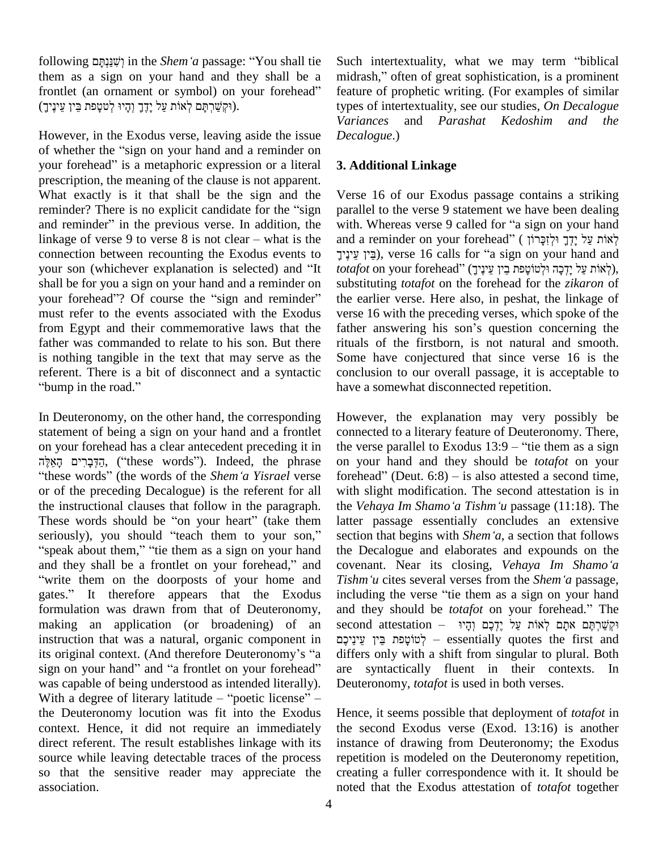following ʭˢʕʍʰʔ˚ˇʑʍʥ in the *Shemë<sup>a</sup>* passage: <sup>ì</sup>You shall tie them as a sign on your hand and they shall be a midra<br>frontlet (an ornament or symbol) on your forehead" featu<br>(וּקִשּׁרִתָּם לְאוֹת עַל יָדֶךָ וְהָיוּ לְטֹטָפֹת בֵּין עֲינֶין). following (שְׁנַּגְתָּם in the *Shem'a* passage: "You shall tie Such them as a sign on your hand and they shall be a midra frontlet (an ornament or symbol) on your forehead" feature

However, in the Exodus verse, leaving aside the issue *Deca* Varian<br>However, in the Exodus verse, leaving aside the issue Decal<br>of whether the "sign on your hand and a reminder on of whether the "sign on your hand and a reminder on your forehead" is a metaphoric expression or a literal prescription, the meaning of the clause is not apparent. What exactly is it that shall be the sign and the Verse prescription, the meaning of the clause is not apparent.<br>What exactly is it that shall be the sign and the Verse<br>reminder? There is no explicit candidate for the "sign paralle What exactly is it that shall be the sign and the Verse<br>reminder? There is no explicit candidate for the "sign paral<br>and reminder" in the previous verse. In addition, the with. reminder? There is no explicit candidate for the "sign parallel to the verse 9 statement we have been dealing<br>and reminder" in the previous verse. In addition, the with. Whereas verse 9 called for "a sign on your hand<br>לאו connection between recounting the Exodus events to linkage of verse 9 to verse 8 is not clear – what is the and a reminder on your forehead" (יְאוֹת עַל יָדְךָ וּלְזַכָּרוֹן ?), verse 16 calls for "a sign on your hand and connection between recounting the Exodus events t shall be for you a sign on your hand and a reminder on your son (whichever explanation is selected) and "It *totafe*<br>shall be for you a sign on your hand and a reminder on subst<br>your forehead"? Of course the "sign and reminder" the e must refer to the events associated with the Exodus from Egypt and their commemorative laws that the father answering his son's question concerning the father was commanded to relate to his son. But there is nothing tangible in the text that may serve as the Some<br>referent. There is a bit of disconnect and a syntactic concl<br>"bump in the road." have referent. There is a bit of disconnect and a syntactic

In Deuteronomy, on the other hand, the corresponding statement of being a sign on your hand and a frontlet conne<br>on your forehead has a clear antecedent preceding it in the vertex<br>fits in the vertex?). Indeed, the phrase on y on your forehead has a clear antecedent preceding it in the ve הַדְּבָרִים הָאֵלֶּה, ("these words"). Indeed, the phrase "these words" (the words of the *Shem* 'a *Yisrael* verse or of the preceding Decalogue) is the referent for all the instructional clauses that follow in the paragraph. or of the preceding Decalogue) is the referent for all with slight<br>the instructional clauses that follow in the paragraph. the *Vehaya*<br>These words should be "on your heart" (take them latter pass the instructional clauses that follow in the paragraph. the V<br>These words should be "on your heart" (take them latter<br>seriously), you should "teach them to your son," section These words should be "on your heart" (take them latter seriously), you should "teach them to your son," section "speak about them," "tie them as a sign on your hand the D seriously), you should "teach them to your son," section<br>"speak about them," "tie them as a sign on your hand the D<br>and they shall be a frontlet on your forehead," and coven ì"write them on the doorposts of your home and *Tishm'u* cites several verses from the Shem'a passage, and they shall be a frontlet on your forehead," and covenant. Near its closing, *Vehaya Im Shamo'a* "write them on the doorposts of your home and *Tishm'u* cites several verses from the *Shem'a* passage, gates." It therefo formulation was drawn from that of Deuteronomy, making an application (or broadening) of an instruction that was a natural, organic component in its original context. (And therefore Deuteronomy's "a secontinstruction that was a natural, organic component in<br>its original context. (And therefore Deuteronomy's "a difference sinstruction that was a natural, organic component in<br>its original context. (And therefore Deuteronomy's "a differ<br>sign on your hand" and "a frontlet on your forehead" are was capable of being understood as intended literally). sign on your hand" and "a frontlet on your forehead" are swas capable of being understood as intended literally). Deuter<br>With a degree of literary latitude – "poetic license" – the Deuteronomy locution was fit into the Exodus context. Hence, it did not require an immediately direct referent. The result establishes linkage with its source while leaving detectable traces of the process so that the sensitive reader may appreciate the association.

Such intertextuality, what we may term "biblical Such intertextuality, what we may term "biblical<br>midrash," often of great sophistication, is a prominent feature of prophetic writing. (For examples of similar types of intertextuality, see our studies, *On Decalogue Variances* and *Parashat Kedoshim and the Decalogue*.)

### **3. Additional Linkage**

Verse 16 of our Exodus passage contains a striking parallel to the verse 9 statement we have been dealing Verse 16 of our Exodus passage contains a striking<br>parallel to the verse 9 statement we have been dealing<br>with. Whereas verse 9 called for "a sign on your hand parallel to the verse 9 statement we have been dealing<br>with. Whereas verse 9 called for "a sign on your hand<br>לְאוֹת עַל יָדְךָ וּלְזְכָּרוֹן ( יִדְנָדוֹן ) Whereas verse 9 called for "a sign on your hand<br>יְאוֹת עַל יָדְךָ וּלְזִכְּרוֹן ( reminder on your forehead'' ( אֲלֹוֹת עַל יִדְךָ וּלְזִכְּרוֹן<br>), verse 16 calls for "a sign on your hand and בין עיניך), verse 16 calls for "a sign on your hand and substituting *totafot* on the forehead for the *zikaron* of the earlier verse. Here also, in peshat, the linkage of verse 16 with the preceding verses, which spoke of the the earlier verse. Here also, in peshat, the linkage of verse 16 with the preceding verses, which spoke of the father answering his son's question concerning the rituals of the firstborn, is not natural and smooth. Some have conjectured that since verse 16 is the conclusion to our overall passage, it is acceptable to have a somewhat disconnected repetition.

However, the explanation may very possibly be connected to a literary feature of Deuteronomy. There, However, the explanation may very possibly be<br>connected to a literary feature of Deuteronomy. There,<br>the verse parallel to Exodus 13:9 – "tie them as a sign on your hand and they should be *totafot* on your the verse parallel to Exodus  $13:9$  – "tie them as a sign<br>on your hand and they should be *totafot* on your<br>forehead" (Deut. 6:8) – is also attested a second time, with slight modification. The second attestation is in forehead" (Deut.  $6:8$ ) – is also attested a second time, latter passage essentially concludes an extensive the *Vehaya Im Shamo'a Tishm'u* passage (11:18). The the Decalogue and elaborates and expounds on the covenant. Near its closing, *Vehaya Im Shamo*<sup>*'a*</sup> *Tishm'u* cites several verses from the *Shem'a* passage, section that begins with *Shem'a*, a section that follows covenant. Near its closing, *Vehaya Im Shamo'a*<br>Tishm'u cites several verses from the *Shem'a* passage,<br>including the verse "tie them as a sign on your hand Tishm'u cites several verses from the *Shem'a* passage, including the verse "tie them as a sign on your hand and they should be *totafot* on your forehead." The including the verse "tie them as a sign on your hand<br>and they should be *totafot* on your forehead." The<br>second attestation – יִּקְשֵׁרְתֶּם אתָם לְאוֹת עַל יֶדֶכֶם וְהָיו and they should be *totafot* on your forehead." The<br>second attestation – קָטּוּקָםּ אַתָּם לְאוֹת עַל יֶדְכֶם וְהָיוּ<br>קַטּוֹטָפַת בֵּין עֵינֵיכֶם – essentially quotes the first and differs only with a shift from singular to plural. Both are syntactically fluent in their contexts. In Deuteronomy, *totafot* is used in both verses.

Hence, it seems possible that deployment of *totafot* in the second Exodus verse (Exod. 13:16) is another instance of drawing from Deuteronomy; the Exodus repetition is modeled on the Deuteronomy repetition, creating a fuller correspondence with it. It should be noted that the Exodus attestation of *totafot* together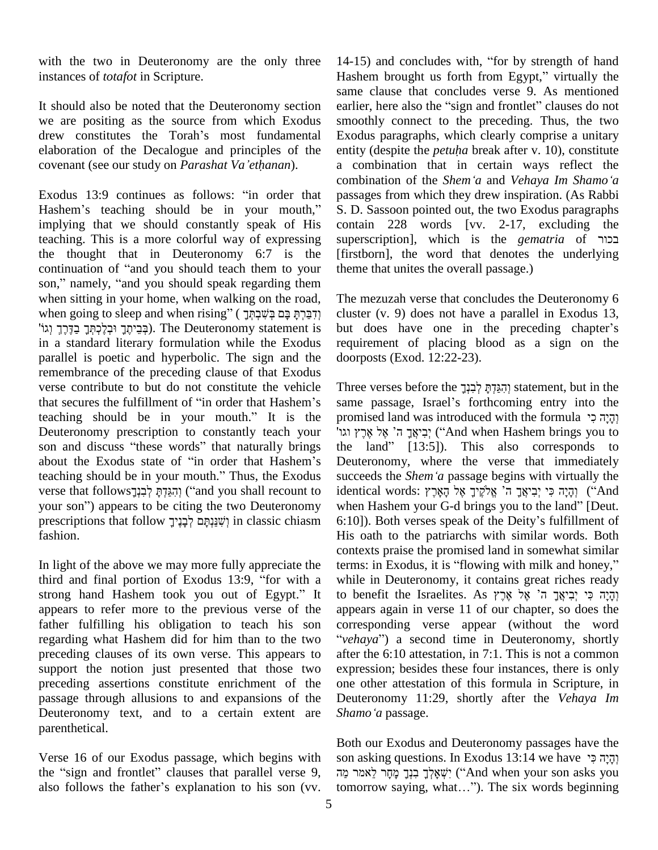with the two in Deuteronomy are the only three instances of *totafot* in Scripture.

It should also be noted that the Deuteronomy section earlier<br>we are positing as the source from which Exodus smoot<br>drew constitutes the Torah's most fundamental Exodu we are positing as the source from which Exodus elaboration of the Decalogue and principles of the drew constitutes the Torah's most fundamental elaboration of the Decalogue and principles of the covenant (see our study on *Parashat Va* 'ethanan). Exodus 13:9 continues as follows: "in order that parameters as follows: "in order that parameters as follows: "in order that parameters as follows: "in  $\alpha$ 

comb<br>Exodus 13:9 continues as follows: "in order that passa<br>Hashem's teaching should be in your mouth," S.D. implying that we should constantly speak of His teaching. This is a more colorful way of expressing supers<br>the thought that in Deuteronomy 6:7 is the [firstb<br>continuation of "and you should teach them to your theme the thought that in Deuteronomy 6:7 is the the thought that in Deuteronomy 6:7 is the [firstborn], continuation of "and you should teach them to your theme that son," namely, "and you should speak regarding them when sitting in your home, when walking on the road, T son," namely, "and you should speak regarding them<br>when sitting in your home, when walking on the road, The<br>קיבה הַקָּם בְּשִׁרָתְּךָ ( דָּם בְּשִׁרָתְּךָ בָּחַ 1 when going to sleep and when rising" (הַבַּרְתָּ בָּם בְּשֵׁבְהָ cluster (v. 9) does not have a parallel in Exodus 13,<br>בביתר ובלכתּד בדרך וגוֹ). The Deuteronomy statement is but does have one in the preceding chapter's in a standard literary formulation while the Exodus parallel is poetic and hyperbolic. The sign and the remembrance of the preceding clause of that Exodus verse contribute to but do not constitute the vehicle remembrance of the preceding clause of that Exodus<br>verse contribute to but do not constitute the vehicle Thre<br>that secures the fulfillment of "in order that Hashem's sam verse contribute to but do not constitute the vehicle Three<br>that secures the fulfillment of "in order that Hashem's same<br>teaching should be in your mouth." It is the prom Deuteronomy prescription to constantly teach your 'אֲרֹאָרָ ה' אֱלֹאֲרָץ וֹגוֹ feaching should be in your mouth." It is the pror<br>Soluteronomy prescription to constantly teach your  $\frac{1}{1}$ <br>son and discuss "these words" that naturally brings the Feuteronomy prescription to constantly teach your<br>son and discuss "these words" that naturally brings the<br>about the Exodus state of "in order that Hashem's Deu son and discuss "these words" that naturally brings the about the Exodus state of "in order that Hashem's Deu teaching should be in your mouth." Thus, the Exodus succ about the Exodus state of "in order that Hashem's Deute:<br>teaching should be in your mouth." Thus, the Exodus succee<br>verse that follows feaching should be in your mouth." Thus, the Exodus succes verse that follows<br>
your son") appears to be citing the two Deuteronomy when<br>
your son") appears to be citing the two Deuteronomy when verse that follows וְהָגֵּדְהָּ לְבִיְךָאֵל ("and you shall recount to identical words: הְגֵידָה לִי לְבִיךָאֵךְ ה' אֱלֹקֶיךָ אֶל הָאָרֶץ לָאוֹיִךָ ("And your son") appears to be citing the two Deuteronomy when Hashem yo fashion.

In light of the above we may more fully appreciate the terms conte<br>In light of the above we may more fully appreciate the terms<br>third and final portion of Exodus 13:9, "for with a while In light of the above we may more fully appreciate the terms: in Exodus, it is "flowing with milk and honey,"<br>third and final portion of Exodus 13:9, "for with a while in Deuteronomy, it contains great riches ready<br>strong appears to refer more to the previous verse of the father fulfilling his obligation to teach his son regarding what Hashem did for him than to the two "vehaya") a second time in Deuteronomy, shortly preceding clauses of its own verse. This appears to support the notion just presented that those two preceding assertions constitute enrichment of the passage through allusions to and expansions of the Deuteronomy text, and to a certain extent are Shamo'a passage. parenthetical.

Verse 16 of our Exodus passage, which begins with son as F<br>Verse 16 of our Exodus passage, which begins with so<br>מֲה , sign and frontlet" clauses that parallel verse 9, Verse 16 of our Exodus passage, which begins with some the "sign and frontlet" clauses that parallel verse 9, also follows the father's explanation to his son (vv.

14-15) and concludes with, "for by strength of hand 14-15) and concludes with, "for by strength of hand<br>Hashem brought us forth from Egypt," virtually the same clause that concludes verse 9. As mentioned Hashem brought us forth from Egypt," virtually the same clause that concludes verse 9. As mentioned earlier, here also the "sign and frontlet" clauses do not smoothly connect to the preceding. Thus, the two<br>Exodus paragraphs, which clearly comprise a unitary<br>entity (despite the *petuha* break after v. 10), constitute Exodus paragraphs, which clearly comprise a unitary a combination that in certain ways reflect the entity (despite the *petuha* break after v. 10), constitute a combination that in certain ways reflect the combination of the *Shem*<sup>*'a*</sup> and *Vehaya Im Shamo'a* passages from which they drew inspiration. (As Rabbi S. D. Sassoon pointed out, the two Exodus paragraphs contain 228 words [vv. 2-17, excluding the superscription], which is the *gematria* of  $\overline{C}$ בכור contain 228 words [vv. 2-17, excluding the [firstborn], the word that denotes the underlying theme that unites the overall passage.)

The mezuzah verse that concludes the Deuteronomy 6 cluster (v. 9) does not have a parallel in Exodus 13, The mezuzah verse that concludes the Deuteronomy 6<br>cluster (v. 9) does not have a parallel in Exodus 13,<br>but does have one in the preceding chapter's requirement of placing blood as a sign on the doorposts (Exod. 12:22-23).

Three verses before the וְהֵגְדָתְּ לְבְנָךָ statement, but in the same passage, Israelí<sup>s</sup> forthcoming entry into the Fhree verses before the וְהִגֵּדְתָּ לְבִנְךָ statement, but in the same passage, Israel's forthcoming entry into the promised land was introduced with the formula יְהָיָה כִי Į same passage, Israel's forthcoming entry into the<br>promised land was introduced with the formula וְהָיָה כִּי<br>יְבִיאֲךָ ה' אֶל אֶרֶץ וגו the formula (הֵיָה כִי promised land was introduced with the formula Deuteronomy, where the verse that immediately the land" [13:5]). This also corresponds to<br>Deuteronomy, where the verse that immediately<br>succeeds the *Shem*<sup>*'a*</sup> passage begins with virtually the Deuteronomy, where the verse that immediately<br>succeeds the *Shem* 'a passage begins with virtually the<br>identical words: יְהָיָה כִּי יְבִיאֲךָ ה' אֱלֹקֶיךָ אֶל הָאָל ('`And succeeds the *Shem* 'a passage begins with virtually the<br>identical words: וְהָיָה כִּי יְבִיאֲךָ ה<sup>ָי</sup> אֱלֹקֳיךָ אֶל הָאָרֶץ<br>when Hashem your G-d brings you to the land" [Deut. identical words: וְהָיָה כִּי יְבִיאֲךָ הֹּי אֱלֹקֱיֹךָ אֶל הָאָרֶץ) ("And<br>when Hashem your G-d brings you to the land" [Deut.<br>6:10]). Both verses speak of the Deity's fulfillment of His oath to the patriarchs with similar words. Both contexts praise the promised land in somewhat similar terms: in Exodus, it is "flowing with milk and honey," contexts praise the promised land in somewhat similar while in Deuteronomy, it contains great riches ready to benefit the Israelites. As אֲרֵץ אֵל אֱרֵץ אֵל אֲרֵץ appears again in verse  $11$  of our chapter, so does the corresponding verse appear (without the word ppears again in verse 11 of our chapter, so does the orresponding verse appear (without the word *vehaya*<sup>2</sup>) a second time in Deuteronomy, shortly after the 6:10 attestation, in 7:1.This is not a common expression; besides these four instances, there is only one other attestation of this formula in Scripture, in<br>Deuteronomy 11:29, shortly after the *Vehaya Im*<br>*Shamo'a* passage. Deuteronomy 11:29, shortly after the *Vehaya Im*

Both our Exodus and Deuteronomy passages have the soth our Exodus and Deuteronomy passages have the<br>son asking questions. In Exodus 13:14 we have יְהָיָה פִּי Both our Exodus and Deuteronomy passages have the<br>son asking questions. In Exodus 13:14 we have יְהָיָה כִּי לְאמֹר מַה<br>יִשְׁאֲלְךָ בִנְךָ מָחָר לֵאמֹר מַה ("And when your son asks you" son asking questions. In Exodus 13:14 we have וְהָיָה כִּי (''And when your son asks you tomorrow saying, what...''). The six words beginning